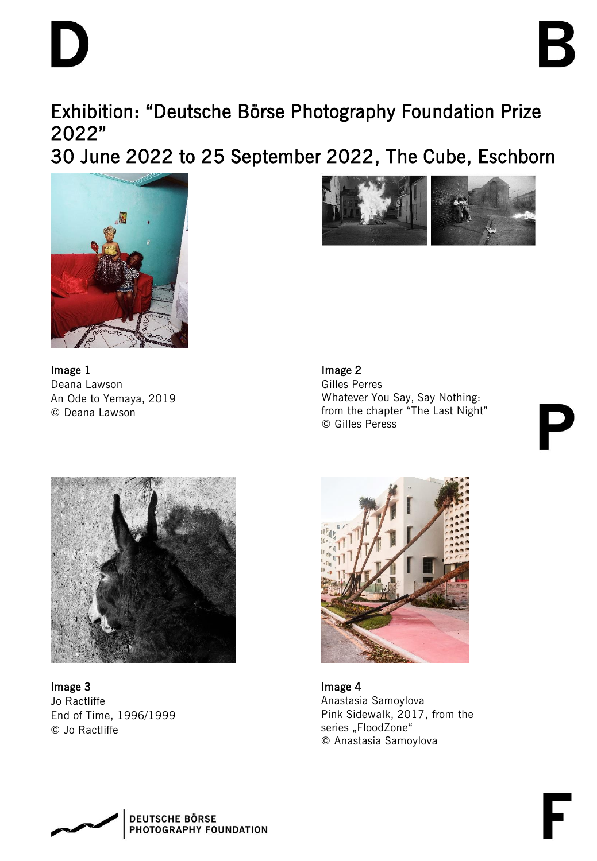Exhibition: "Deutsche Börse Photography Foundation Prize 2022"

30 June 2022 to 25 September 2022, The Cube, Eschborn





Image 1 Deana Lawson An Ode to Yemaya, 2019 © Deana Lawson

Image 2 Gilles Perres Whatever You Say, Say Nothing: from the chapter "The Last Night" © Gilles Peress



Image 3 Jo Ractliffe End of Time, 1996/1999 © Jo Ractliffe



Image 4 Anastasia Samoylova Pink Sidewalk, 2017, from the series "FloodZone" © Anastasia Samoylova